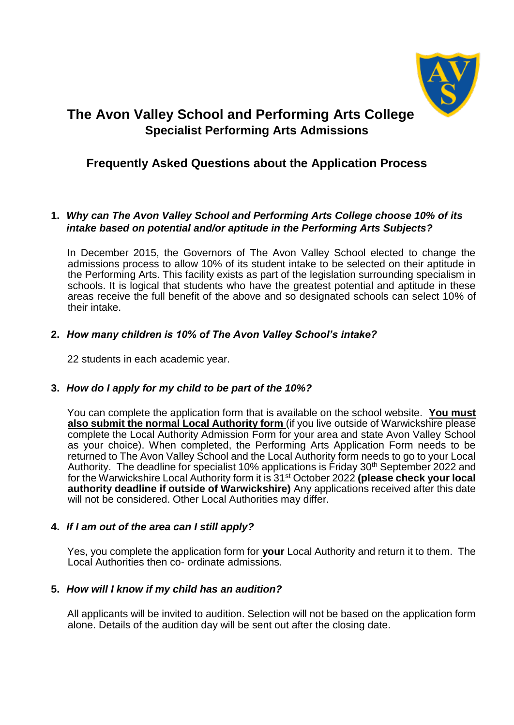

# **The Avon Valley School and Performing Arts College Specialist Performing Arts Admissions**

## **Frequently Asked Questions about the Application Process**

#### **1.** *Why can The Avon Valley School and Performing Arts College choose 10% of its intake based on potential and/or aptitude in the Performing Arts Subjects?*

In December 2015, the Governors of The Avon Valley School elected to change the admissions process to allow 10% of its student intake to be selected on their aptitude in the Performing Arts. This facility exists as part of the legislation surrounding specialism in schools. It is logical that students who have the greatest potential and aptitude in these areas receive the full benefit of the above and so designated schools can select 10% of their intake.

### **2.** *How many children is 10% of The Avon Valley School's intake?*

22 students in each academic year.

### **3.** *How do I apply for my child to be part of the 10%?*

You can complete the application form that is available on the school website. **You must also submit the normal Local Authority form** (if you live outside of Warwickshire please complete the Local Authority Admission Form for your area and state Avon Valley School as your choice). When completed, the Performing Arts Application Form needs to be returned to The Avon Valley School and the Local Authority form needs to go to your Local Authority. The deadline for specialist 10% applications is Friday 30<sup>th</sup> September 2022 and for the Warwickshire Local Authority form it is 31st October 2022 **(please check your local authority deadline if outside of Warwickshire)** Any applications received after this date will not be considered. Other Local Authorities may differ.

#### **4.** *If I am out of the area can I still apply?*

Yes, you complete the application form for **your** Local Authority and return it to them. The Local Authorities then co- ordinate admissions.

#### **5.** *How will I know if my child has an audition?*

All applicants will be invited to audition. Selection will not be based on the application form alone. Details of the audition day will be sent out after the closing date.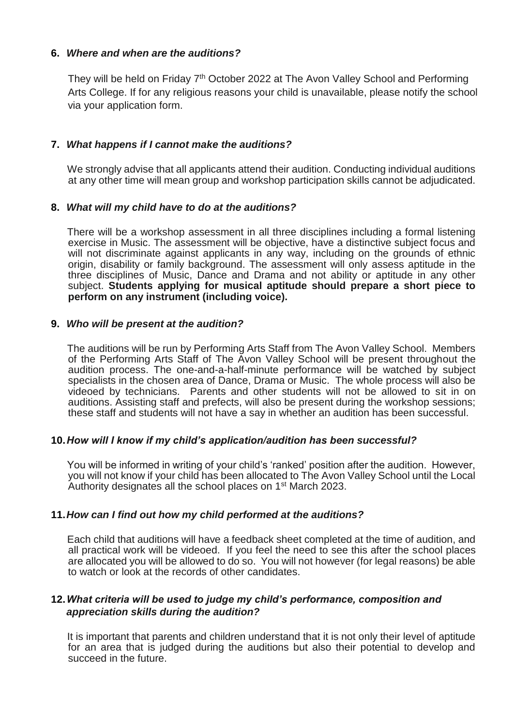#### **6.** *Where and when are the auditions?*

They will be held on Friday 7<sup>th</sup> October 2022 at The Avon Valley School and Performing Arts College. If for any religious reasons your child is unavailable, please notify the school via your application form.

#### **7.** *What happens if I cannot make the auditions?*

We strongly advise that all applicants attend their audition. Conducting individual auditions at any other time will mean group and workshop participation skills cannot be adjudicated.

#### **8.** *What will my child have to do at the auditions?*

There will be a workshop assessment in all three disciplines including a formal listening exercise in Music. The assessment will be objective, have a distinctive subject focus and will not discriminate against applicants in any way, including on the grounds of ethnic origin, disability or family background. The assessment will only assess aptitude in the three disciplines of Music, Dance and Drama and not ability or aptitude in any other subject. **Students applying for musical aptitude should prepare a short piece to perform on any instrument (including voice).** 

#### **9.** *Who will be present at the audition?*

The auditions will be run by Performing Arts Staff from The Avon Valley School. Members of the Performing Arts Staff of The Avon Valley School will be present throughout the audition process. The one-and-a-half-minute performance will be watched by subject specialists in the chosen area of Dance, Drama or Music. The whole process will also be videoed by technicians. Parents and other students will not be allowed to sit in on auditions. Assisting staff and prefects, will also be present during the workshop sessions; these staff and students will not have a say in whether an audition has been successful.

#### **10.***How will I know if my child's application/audition has been successful?*

You will be informed in writing of your child's 'ranked' position after the audition. However, you will not know if your child has been allocated to The Avon Valley School until the Local Authority designates all the school places on 1<sup>st</sup> March 2023.

#### **11.***How can I find out how my child performed at the auditions?*

Each child that auditions will have a feedback sheet completed at the time of audition, and all practical work will be videoed. If you feel the need to see this after the school places are allocated you will be allowed to do so. You will not however (for legal reasons) be able to watch or look at the records of other candidates.

#### **12.***What criteria will be used to judge my child's performance, composition and appreciation skills during the audition?*

It is important that parents and children understand that it is not only their level of aptitude for an area that is judged during the auditions but also their potential to develop and succeed in the future.